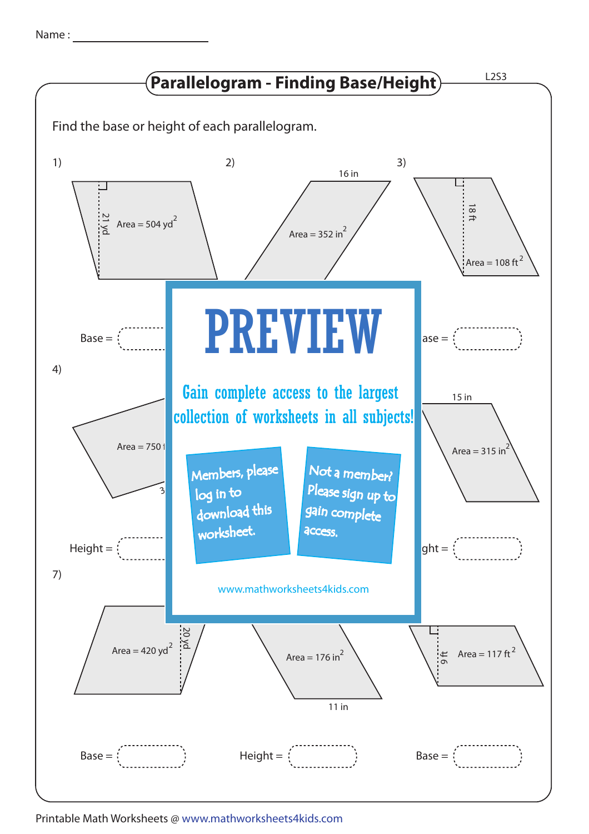| Name |  |
|------|--|
|      |  |



Printable Math Worksheets @ www.mathworksheets4kids.com